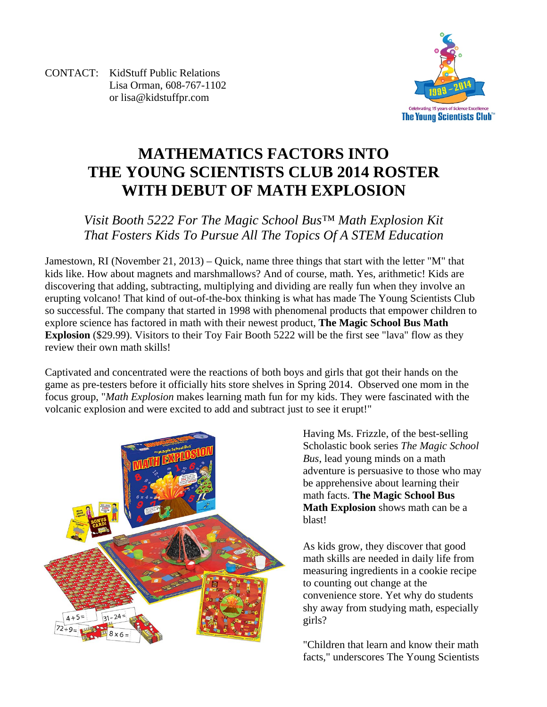CONTACT: KidStuff Public Relations Lisa Orman, 608-767-1102 or lisa@kidstuffpr.com



# **MATHEMATICS FACTORS INTO THE YOUNG SCIENTISTS CLUB 2014 ROSTER WITH DEBUT OF MATH EXPLOSION**

## *Visit Booth 5222 For The Magic School Bus™ Math Explosion Kit That Fosters Kids To Pursue All The Topics Of A STEM Education*

Jamestown, RI (November 21, 2013) – Quick, name three things that start with the letter "M" that kids like. How about magnets and marshmallows? And of course, math. Yes, arithmetic! Kids are discovering that adding, subtracting, multiplying and dividing are really fun when they involve an erupting volcano! That kind of out-of-the-box thinking is what has made The Young Scientists Club so successful. The company that started in 1998 with phenomenal products that empower children to explore science has factored in math with their newest product, **The Magic School Bus Math Explosion** (\$29.99). Visitors to their Toy Fair Booth 5222 will be the first see "lava" flow as they review their own math skills!

Captivated and concentrated were the reactions of both boys and girls that got their hands on the game as pre-testers before it officially hits store shelves in Spring 2014. Observed one mom in the focus group, "*Math Explosion* makes learning math fun for my kids. They were fascinated with the volcanic explosion and were excited to add and subtract just to see it erupt!"



Having Ms. Frizzle, of the best-selling Scholastic book series *The Magic School Bus*, lead young minds on a math adventure is persuasive to those who may be apprehensive about learning their math facts. **The Magic School Bus Math Explosion** shows math can be a blast!

As kids grow, they discover that good math skills are needed in daily life from measuring ingredients in a cookie recipe to counting out change at the convenience store. Yet why do students shy away from studying math, especially girls?

"Children that learn and know their math facts," underscores The Young Scientists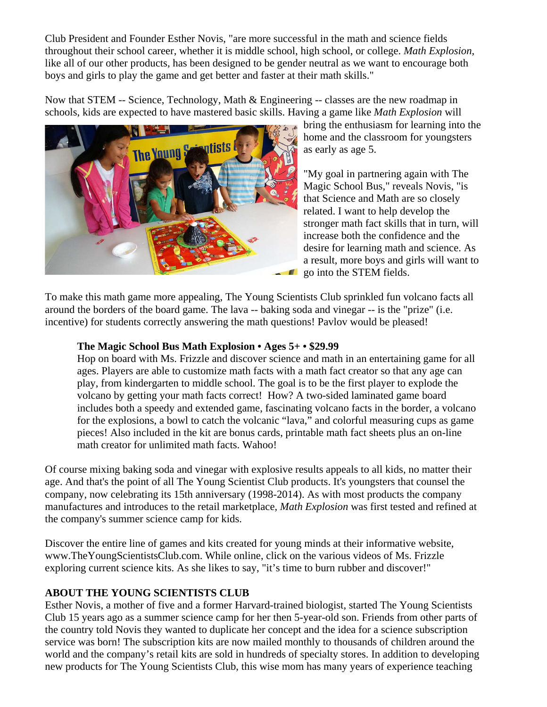Club President and Founder Esther Novis, "are more successful in the math and science fields throughout their school career, whether it is middle school, high school, or college. *Math Explosion*, like all of our other products, has been designed to be gender neutral as we want to encourage both boys and girls to play the game and get better and faster at their math skills."

Now that STEM -- Science, Technology, Math & Engineering -- classes are the new roadmap in schools, kids are expected to have mastered basic skills. Having a game like *Math Explosion* will



bring the enthusiasm for learning into the home and the classroom for youngsters as early as age 5.

"My goal in partnering again with The Magic School Bus," reveals Novis, "is that Science and Math are so closely related. I want to help develop the stronger math fact skills that in turn, will increase both the confidence and the desire for learning math and science. As a result, more boys and girls will want to go into the STEM fields.

To make this math game more appealing, The Young Scientists Club sprinkled fun volcano facts all around the borders of the board game. The lava -- baking soda and vinegar -- is the "prize" (i.e. incentive) for students correctly answering the math questions! Pavlov would be pleased!

### **The Magic School Bus Math Explosion • Ages 5+ • \$29.99**

Hop on board with Ms. Frizzle and discover science and math in an entertaining game for all ages. Players are able to customize math facts with a math fact creator so that any age can play, from kindergarten to middle school. The goal is to be the first player to explode the volcano by getting your math facts correct! How? A two-sided laminated game board includes both a speedy and extended game, fascinating volcano facts in the border, a volcano for the explosions, a bowl to catch the volcanic "lava," and colorful measuring cups as game pieces! Also included in the kit are bonus cards, printable math fact sheets plus an on-line math creator for unlimited math facts. Wahoo!

Of course mixing baking soda and vinegar with explosive results appeals to all kids, no matter their age. And that's the point of all The Young Scientist Club products. It's youngsters that counsel the company, now celebrating its 15th anniversary (1998-2014). As with most products the company manufactures and introduces to the retail marketplace, *Math Explosion* was first tested and refined at the company's summer science camp for kids.

Discover the entire line of games and kits created for young minds at their informative website, www.TheYoungScientistsClub.com. While online, click on the various videos of Ms. Frizzle exploring current science kits. As she likes to say, "it's time to burn rubber and discover!"

#### **ABOUT THE YOUNG SCIENTISTS CLUB**

Esther Novis, a mother of five and a former Harvard-trained biologist, started The Young Scientists Club 15 years ago as a summer science camp for her then 5-year-old son. Friends from other parts of the country told Novis they wanted to duplicate her concept and the idea for a science subscription service was born! The subscription kits are now mailed monthly to thousands of children around the world and the company's retail kits are sold in hundreds of specialty stores. In addition to developing new products for The Young Scientists Club, this wise mom has many years of experience teaching